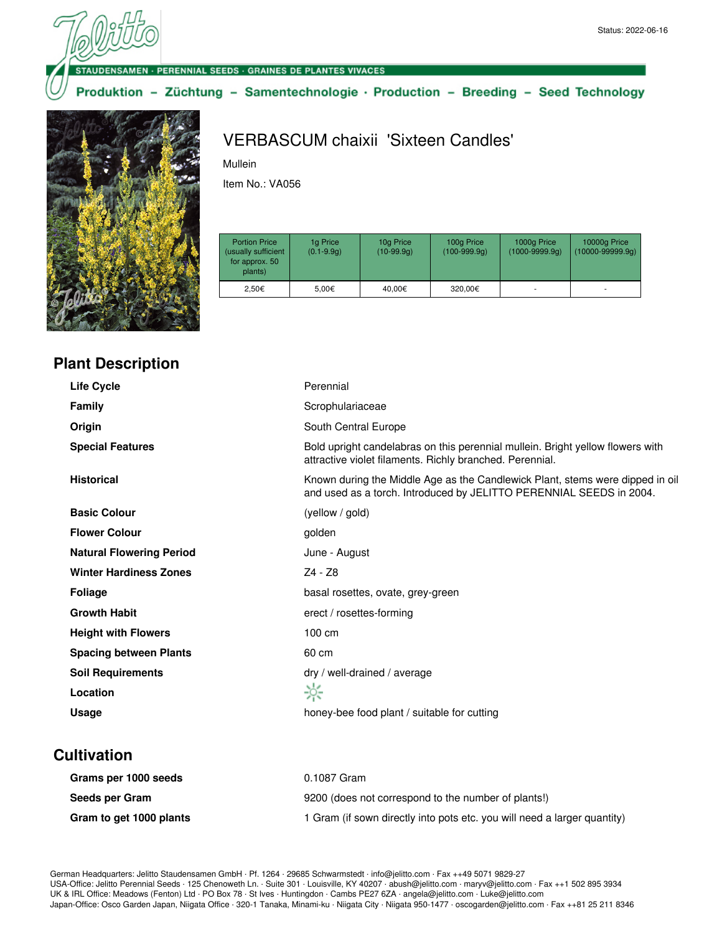#### **DENSAMEN · PERENNIAL SEEDS · GRAINES DE PLANTES VIVACES**

Produktion - Züchtung - Samentechnologie · Production - Breeding - Seed Technology



# VERBASCUM chaixii 'Sixteen Candles'

Mullein

Item No.: VA056

| <b>Portion Price</b><br>(usually sufficient<br>for approx. 50<br>plants) | 1g Price<br>$(0.1 - 9.9q)$ | 10g Price<br>$(10-99.9q)$ | 100g Price<br>$(100-999.9q)$ | 1000g Price<br>$(1000 - 9999.9q)$ | 10000g Price<br>$(10000-99999.9q)$ |
|--------------------------------------------------------------------------|----------------------------|---------------------------|------------------------------|-----------------------------------|------------------------------------|
| 2.50€                                                                    | 5.00€                      | 40.00€                    | 320,00€                      |                                   | ٠                                  |

| <b>Plant Description</b> |  |
|--------------------------|--|
|--------------------------|--|

| <b>Life Cycle</b>               | Perennial                                                                                                                                            |
|---------------------------------|------------------------------------------------------------------------------------------------------------------------------------------------------|
| <b>Family</b>                   | Scrophulariaceae                                                                                                                                     |
| Origin                          | South Central Europe                                                                                                                                 |
| <b>Special Features</b>         | Bold upright candelabras on this perennial mullein. Bright yellow flowers with<br>attractive violet filaments. Richly branched. Perennial.           |
| <b>Historical</b>               | Known during the Middle Age as the Candlewick Plant, stems were dipped in oil<br>and used as a torch. Introduced by JELITTO PERENNIAL SEEDS in 2004. |
| <b>Basic Colour</b>             | (yellow / gold)                                                                                                                                      |
| <b>Flower Colour</b>            | golden                                                                                                                                               |
| <b>Natural Flowering Period</b> | June - August                                                                                                                                        |
| <b>Winter Hardiness Zones</b>   | Z4 - Z8                                                                                                                                              |
| <b>Foliage</b>                  | basal rosettes, ovate, grey-green                                                                                                                    |
| <b>Growth Habit</b>             | erect / rosettes-forming                                                                                                                             |
| <b>Height with Flowers</b>      | 100 cm                                                                                                                                               |
| <b>Spacing between Plants</b>   | 60 cm                                                                                                                                                |
| <b>Soil Requirements</b>        | dry / well-drained / average                                                                                                                         |
| Location                        | ☆                                                                                                                                                    |
| Usage                           | honey-bee food plant / suitable for cutting                                                                                                          |
|                                 |                                                                                                                                                      |

## **Cultivation**

| Grams per 1000 seeds    | 0.1087 Gram                                                              |
|-------------------------|--------------------------------------------------------------------------|
| Seeds per Gram          | 9200 (does not correspond to the number of plants!)                      |
| Gram to get 1000 plants | 1 Gram (if sown directly into pots etc. you will need a larger quantity) |